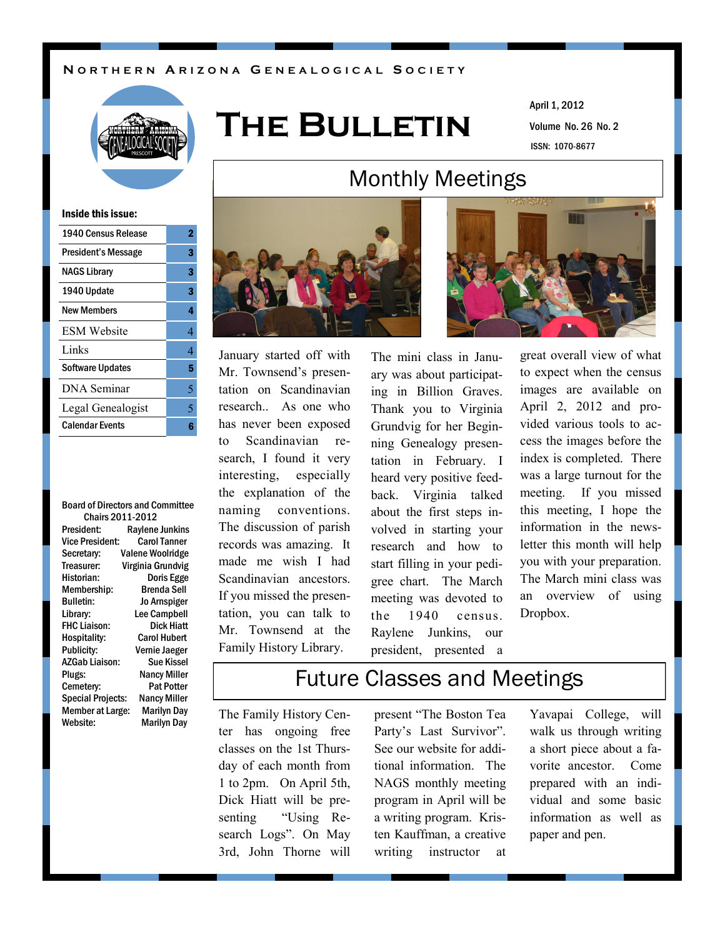#### **N O R T H E R N A R I Z O N A G E N E A L O G I C A L S O C I E T Y**



# **The Bulletin**

Volume No. 26 No. 2 April 1, 2012 ISSN: 1070-8677

#### Inside this issue:

| 1940 Census Release     | 2 |
|-------------------------|---|
| President's Message     | 3 |
| <b>NAGS Library</b>     | 3 |
| 1940 Update             | 3 |
| New Members             | 4 |
| <b>ESM</b> Website      | 4 |
| Links                   | 4 |
| <b>Software Updates</b> | 5 |
| <b>DNA</b> Seminar      | 5 |
| Legal Genealogist       | 5 |
| <b>Calendar Events</b>  | R |
|                         |   |

Board of Directors and Committee Chairs 2011-2012 President: Raylene Junkins Vice President: Carol Tanner Secretary: Valene Woolridge Treasurer: Virginia Grundvig Historian: Doris Egge Membership: Brenda Sell Bulletin: Jo Arnspiger Library: Lee Campbell FHC Liaison: Dick Hiatt Hospitality: Carol Hubert Publicity: Vernie Jaeger AZGab Liaison: Sue Kissel Plugs: Nancy Miller Cemetery: Pat Potter Special Projects: Nancy Miller Member at Large: Marilyn Day Website: Marilyn Day



January started off with Mr. Townsend's presentation on Scandinavian research. As one who has never been exposed to Scandinavian research, I found it very interesting, especially the explanation of the naming conventions. The discussion of parish records was amazing. It made me wish I had Scandinavian ancestors. If you missed the presentation, you can talk to Mr. Townsend at the Family History Library.

The mini class in January was about participating in Billion Graves. Thank you to Virginia Grundvig for her Beginning Genealogy presentation in February. I heard very positive feedback. Virginia talked about the first steps involved in starting your research and how to start filling in your pedigree chart. The March meeting was devoted to the 1940 census. Raylene Junkins, our president, presented a

Monthly Meetings

great overall view of what to expect when the census images are available on April 2, 2012 and provided various tools to access the images before the index is completed. There was a large turnout for the meeting. If you missed this meeting, I hope the information in the newsletter this month will help you with your preparation. The March mini class was an overview of using Dropbox.

### Future Classes and Meetings

The Family History Center has ongoing free classes on the 1st Thursday of each month from 1 to 2pm. On April 5th, Dick Hiatt will be presenting "Using Research Logs". On May 3rd, John Thorne will present "The Boston Tea Party's Last Survivor". See our website for additional information. The NAGS monthly meeting program in April will be a writing program. Kristen Kauffman, a creative writing instructor at

Yavapai College, will walk us through writing a short piece about a favorite ancestor. Come prepared with an individual and some basic information as well as paper and pen.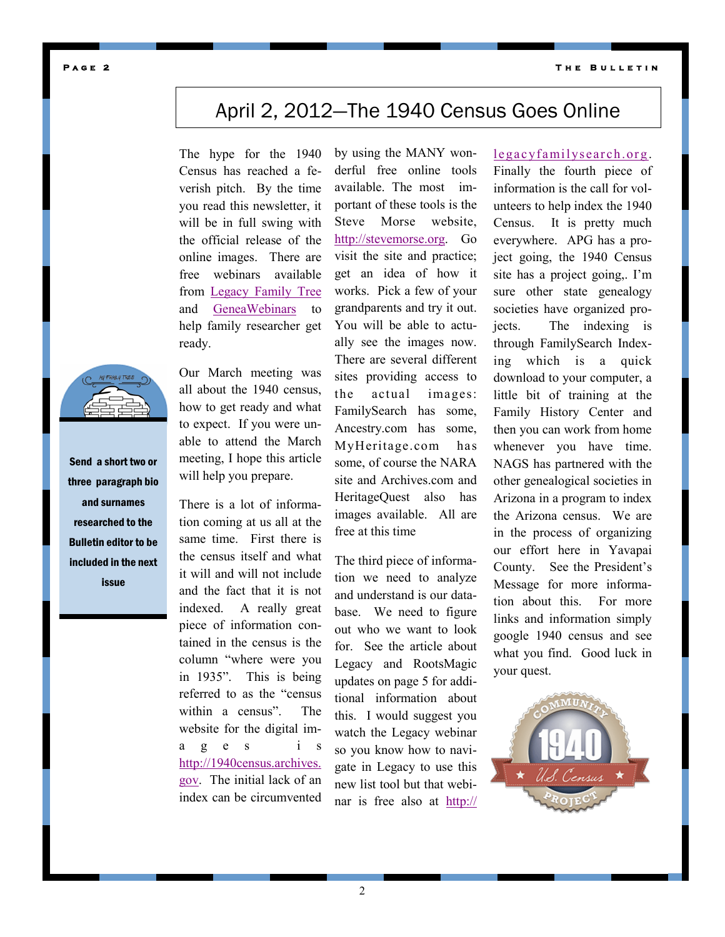**T h e B u l l e t i n** 

#### **P a g e 2**

### April 2, 2012—The 1940 Census Goes Online

The hype for the 1940 Census has reached a feverish pitch. By the time you read this newsletter, it will be in full swing with the official release of the online images. There are free webinars available from [Legacy Family Tree](http://legacyfamilytree.com) and [GeneaWebinars](http://blog.geneawebinars.com/search/label/1940%20census) to help family researcher get ready.

Our March meeting was all about the 1940 census, how to get ready and what to expect. If you were unable to attend the March meeting, I hope this article will help you prepare.

There is a lot of information coming at us all at the same time. First there is the census itself and what it will and will not include and the fact that it is not indexed. A really great piece of information contained in the census is the column "where were you in 1935". This is being referred to as the "census within a census". The website for the digital ima g e s i s [http://1940census.archives.](http://1940census.archives.gov) [gov.](http://1940census.archives.gov) The initial lack of an index can be circumvented by using the MANY wonderful free online tools available. The most important of these tools is the Steve Morse website, [http://stevemorse.org.](http://stevemorse.org) Go visit the site and practice; get an idea of how it works. Pick a few of your grandparents and try it out. You will be able to actually see the images now. There are several different sites providing access to the actual images: FamilySearch has some, Ancestry.com has some, MyHeritage.com has some, of course the NARA site and Archives.com and HeritageQuest also has images available. All are free at this time

The third piece of information we need to analyze and understand is our database. We need to figure out who we want to look for. See the article about Legacy and RootsMagic updates on page 5 for additional information about this. I would suggest you watch the Legacy webinar so you know how to navigate in Legacy to use this new list tool but that webinar is free also at [http://](http://legacyfamilysearch.org)

#### [legacyfamilysearch.org](http://legacyfamilysearch.org) .

Finally the fourth piece of information is the call for volunteers to help index the 1940 Census. It is pretty much everywhere. APG has a project going, the 1940 Census site has a project going,. I'm sure other state genealogy societies have organized projects. The indexing is through FamilySearch Indexing which is a quick download to your computer, a little bit of training at the Family History Center and then you can work from home whenever you have time. NAGS has partnered with the other genealogical societies in Arizona in a program to index the Arizona census. We are in the process of organizing our effort here in Yavapai County. See the President's Message for more information about this. For more links and information simply google 1940 census and see what you find. Good luck in your quest.





Send a short two or three paragraph bio and surnames researched to the Bulletin editor to be included in the next issue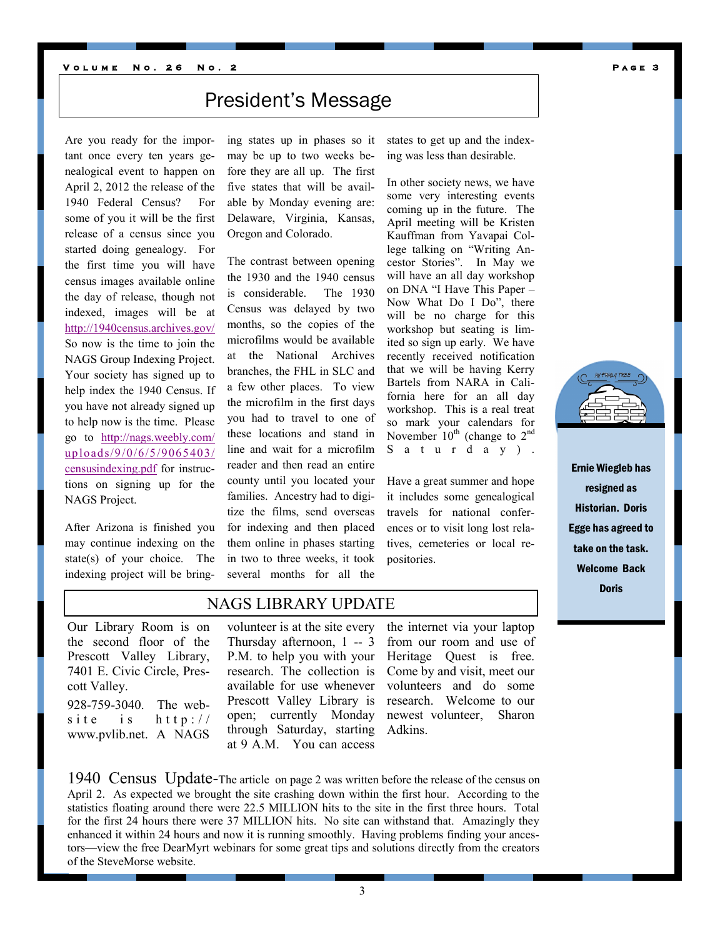### President's Message

Are you ready for the important once every ten years genealogical event to happen on April 2, 2012 the release of the 1940 Federal Census? For some of you it will be the first release of a census since you started doing genealogy. For the first time you will have census images available online the day of release, though not indexed, images will be at <http://1940census.archives.gov/> So now is the time to join the NAGS Group Indexing Project. Your society has signed up to help index the 1940 Census. If you have not already signed up to help now is the time. Please go to [http://nags.weebly.com/](http://nags.weebly.com/uploads/9/0/6/5/9065403/censusindexing.pdf) [uploads/9/0/6/5/9065403/](http://nags.weebly.com/uploads/9/0/6/5/9065403/censusindexing.pdf) [censusindexing.pdf](http://nags.weebly.com/uploads/9/0/6/5/9065403/censusindexing.pdf) for instructions on signing up for the NAGS Project.

After Arizona is finished you may continue indexing on the state(s) of your choice. The indexing project will be bringing states up in phases so it may be up to two weeks before they are all up. The first five states that will be available by Monday evening are: Delaware, Virginia, Kansas, Oregon and Colorado.

The contrast between opening the 1930 and the 1940 census is considerable. The 1930 Census was delayed by two months, so the copies of the microfilms would be available at the National Archives branches, the FHL in SLC and a few other places. To view the microfilm in the first days you had to travel to one of these locations and stand in line and wait for a microfilm reader and then read an entire county until you located your families. Ancestry had to digitize the films, send overseas for indexing and then placed them online in phases starting in two to three weeks, it took several months for all the states to get up and the indexing was less than desirable.

In other society news, we have some very interesting events coming up in the future. The April meeting will be Kristen Kauffman from Yavapai College talking on "Writing Ancestor Stories". In May we will have an all day workshop on DNA "I Have This Paper – Now What Do I Do", there will be no charge for this workshop but seating is limited so sign up early. We have recently received notification that we will be having Kerry Bartels from NARA in California here for an all day workshop. This is a real treat so mark your calendars for November  $10^{th}$  (change to  $2^{nd}$ S a t u r d a y ) .

Have a great summer and hope it includes some genealogical travels for national conferences or to visit long lost relatives, cemeteries or local repositories.

Ernie Wiegleb has resigned as Historian. Doris Egge has agreed to take on the task. Welcome Back Doris

#### NAGS LIBRARY UPDATE

Our Library Room is on the second floor of the Prescott Valley Library, 7401 E. Civic Circle, Prescott Valley.

928-759-3040. The website is  $h \text{ttp}$ :// www.pvlib.net. A NAGS

volunteer is at the site every Thursday afternoon, 1 -- 3 P.M. to help you with your research. The collection is available for use whenever Prescott Valley Library is open; currently Monday through Saturday, starting at 9 A.M. You can access

the internet via your laptop from our room and use of Heritage Quest is free. Come by and visit, meet our volunteers and do some research. Welcome to our newest volunteer, Sharon Adkins.

1940 Census Update-The article on page 2 was written before the release of the census on April 2. As expected we brought the site crashing down within the first hour. According to the statistics floating around there were 22.5 MILLION hits to the site in the first three hours. Total for the first 24 hours there were 37 MILLION hits. No site can withstand that. Amazingly they enhanced it within 24 hours and now it is running smoothly. Having problems finding your ancestors—view the free DearMyrt webinars for some great tips and solutions directly from the creators of the SteveMorse website.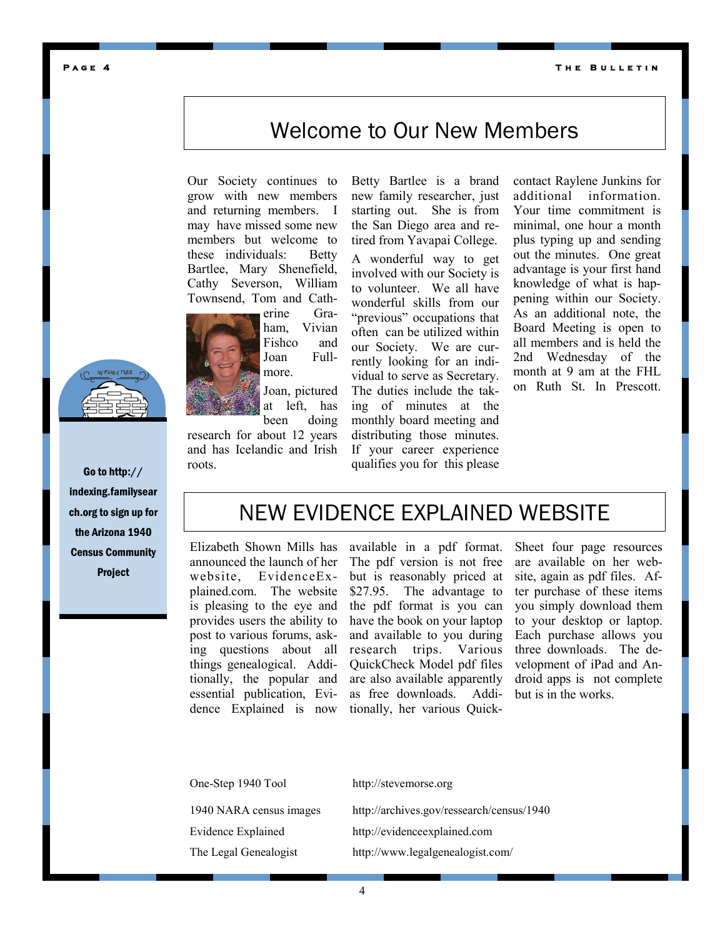**T h e B u l l e t i n** 

### Welcome to Our New Members

Our Society continues to grow with new members and returning members. I may have missed some new members but welcome to these individuals: Betty Bartlee, Mary Shenefield, Cathy Severson, William Townsend, Tom and Cath-



ham, Vivian Fishco and Joan Fullmore.

Joan, pictured at left, has been doing

research for about 12 years and has Icelandic and Irish roots.

Betty Bartlee is a brand new family researcher, just starting out. She is from the San Diego area and retired from Yavapai College.

A wonderful way to get involved with our Society is to volunteer. We all have wonderful skills from our "previous" occupations that often can be utilized within our Society. We are currently looking for an individual to serve as Secretary. The duties include the taking of minutes at the monthly board meeting and distributing those minutes. If your career experience qualifies you for this please contact Raylene Junkins for additional information. Your time commitment is minimal, one hour a month plus typing up and sending out the minutes. One great advantage is your first hand knowledge of what is happening within our Society. As an additional note, the Board Meeting is open to all members and is held the 2nd Wednesday of the month at 9 am at the FHL on Ruth St. In Prescott.

### NEW EVIDENCE EXPLAINED WEBSITE

Elizabeth Shown Mills has announced the launch of her website, EvidenceExplained.com. The website is pleasing to the eye and provides users the ability to post to various forums, asking questions about all things genealogical. Additionally, the popular and essential publication, Evidence Explained is now

available in a pdf format. The pdf version is not free but is reasonably priced at \$27.95. The advantage to the pdf format is you can have the book on your laptop and available to you during research trips. Various QuickCheck Model pdf files are also available apparently as free downloads. Additionally, her various QuickSheet four page resources are available on her website, again as pdf files. After purchase of these items you simply download them to your desktop or laptop. Each purchase allows you three downloads. The development of iPad and Android apps is not complete but is in the works.

| One-Step 1940 Tool        | http://stevemorse.org                     |
|---------------------------|-------------------------------------------|
| 1940 NARA census images   | http://archives.gov/ressearch/census/1940 |
| <b>Evidence Explained</b> | http://evidenceexplained.com              |
| The Legal Genealogist     | http://www.legalgenealogist.com/          |

Go to http://

indexing.familysear ch.org to sign up for the Arizona 1940 Census Community Project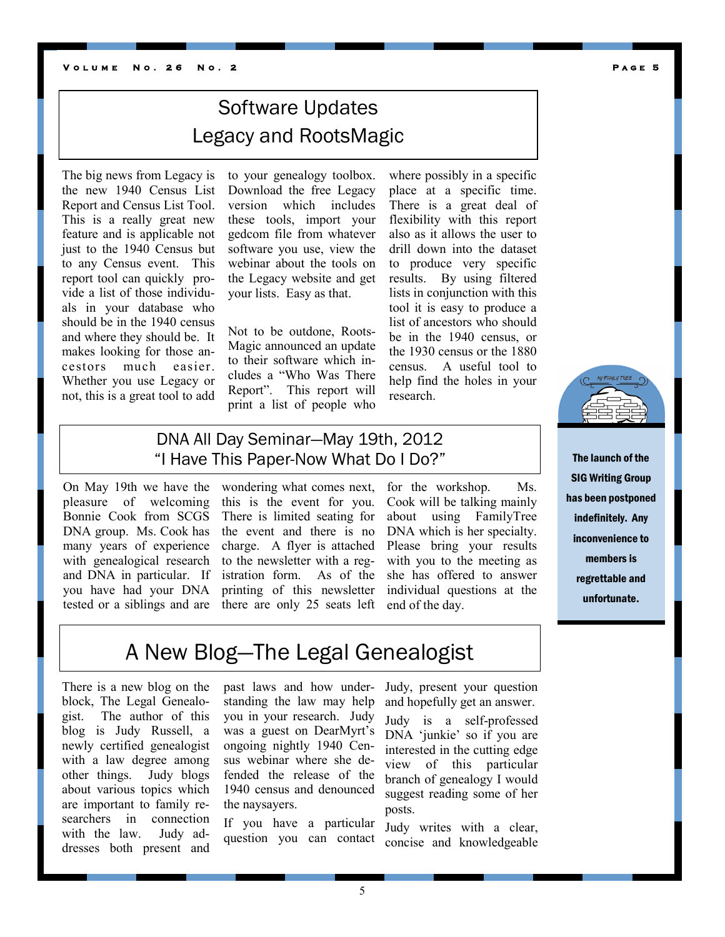#### **V o l u m e N o . 2 6 N o . 2 P a g e 5**

## Software Updates Legacy and RootsMagic

The big news from Legacy is the new 1940 Census List Report and Census List Tool. This is a really great new feature and is applicable not just to the 1940 Census but to any Census event. This report tool can quickly provide a list of those individuals in your database who should be in the 1940 census and where they should be. It makes looking for those ancestors much easier. Whether you use Legacy or not, this is a great tool to add

to your genealogy toolbox. Download the free Legacy version which includes these tools, import your gedcom file from whatever software you use, view the webinar about the tools on the Legacy website and get your lists. Easy as that.

Not to be outdone, Roots-Magic announced an update to their software which includes a "Who Was There Report". This report will print a list of people who where possibly in a specific place at a specific time. There is a great deal of flexibility with this report also as it allows the user to drill down into the dataset to produce very specific results. By using filtered lists in conjunction with this tool it is easy to produce a list of ancestors who should be in the 1940 census, or the 1930 census or the 1880 census. A useful tool to help find the holes in your research.

### DNA All Day Seminar—May 19th, 2012 "I Have This Paper-Now What Do I Do?"

On May 19th we have the pleasure of welcoming Bonnie Cook from SCGS DNA group. Ms. Cook has many years of experience with genealogical research and DNA in particular. If you have had your DNA tested or a siblings and are

wondering what comes next, this is the event for you. There is limited seating for the event and there is no charge. A flyer is attached to the newsletter with a registration form. As of the printing of this newsletter there are only 25 seats left end of the day.

for the workshop. Ms. Cook will be talking mainly about using FamilyTree DNA which is her specialty. Please bring your results with you to the meeting as she has offered to answer individual questions at the



The launch of the SIG Writing Group has been postponed indefinitely. Any inconvenience to members is regrettable and unfortunate.

### A New Blog—The Legal Genealogist

There is a new blog on the block, The Legal Genealogist. The author of this blog is Judy Russell, a newly certified genealogist with a law degree among other things. Judy blogs about various topics which are important to family researchers in connection with the law. Judy addresses both present and

past laws and how understanding the law may help you in your research. Judy was a guest on DearMyrt's ongoing nightly 1940 Census webinar where she defended the release of the 1940 census and denounced the naysayers.

If you have a particular question you can contact Judy, present your question and hopefully get an answer.

Judy is a self-professed DNA 'junkie' so if you are interested in the cutting edge view of this particular branch of genealogy I would suggest reading some of her posts.

Judy writes with a clear, concise and knowledgeable